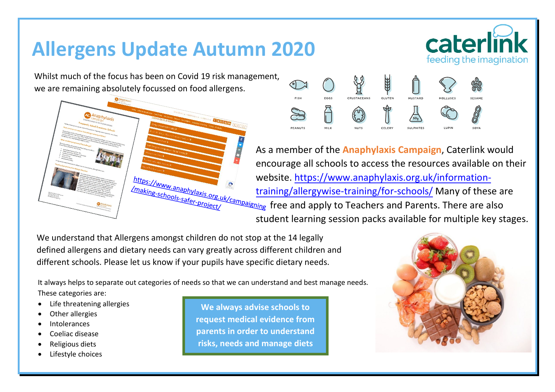## **Allergens Update Autumn 2020**

Whilst much of the focus has been on Covid 19 risk management, we are remaining absolutely focussed on food allergens.





As a member of the **Anaphylaxis Campaign**, Caterlink would encourage all schools to access the resources available on their website. [https://www.anaphylaxis.org.uk/information](https://www.anaphylaxis.org.uk/information-training/allergywise-training/for-schools/)[training/allergywise-training/for-schools/](https://www.anaphylaxis.org.uk/information-training/allergywise-training/for-schools/) Many of these are *ing* free and apply to Teachers and Parents. There are also student learning session packs available for multiple key stages.

We understand that Allergens amongst children do not stop at the 14 legally defined allergens and dietary needs can vary greatly across different children and different schools. Please let us know if your pupils have specific dietary needs.

It always helps to separate out categories of needs so that we can understand and best manage needs. These categories are:

- Life threatening allergies
- Other allergies
- **Intolerances**
- Coeliac disease
- Religious diets
- Lifestyle choices

**We always advise schools to request medical evidence from parents in order to understand risks, needs and manage diets**



caterlin

feeding the imagination